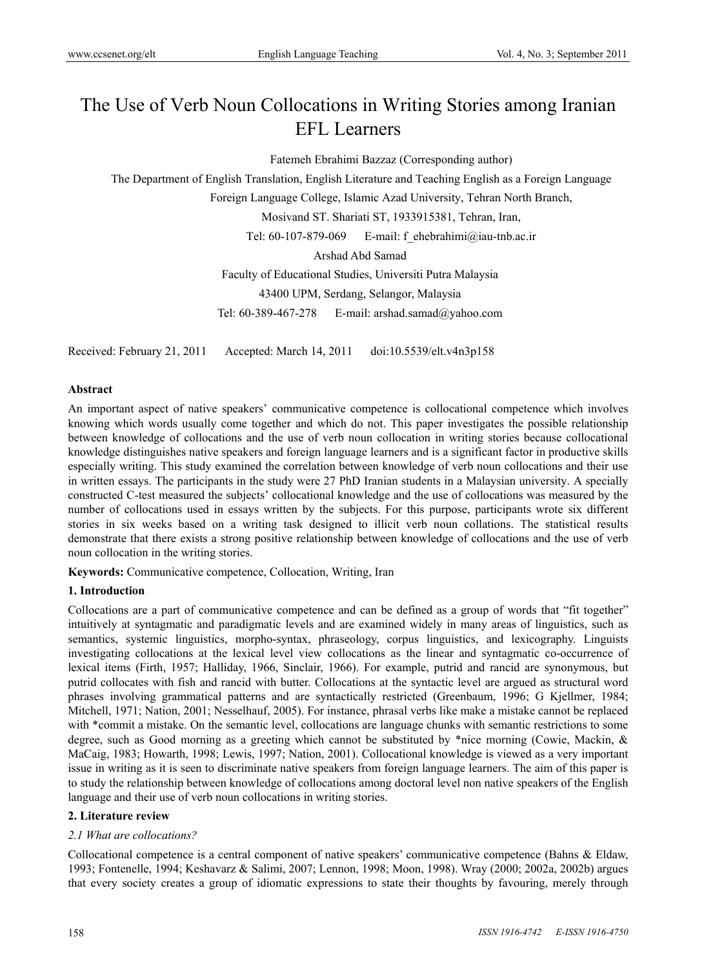# The Use of Verb Noun Collocations in Writing Stories among Iranian EFL Learners

Fatemeh Ebrahimi Bazzaz (Corresponding author)

The Department of English Translation, English Literature and Teaching English as a Foreign Language

Foreign Language College, Islamic Azad University, Tehran North Branch,

Mosivand ST. Shariati ST, 1933915381, Tehran, Iran,

Tel: 60-107-879-069 E-mail: f ehebrahimi@iau-tnb.ac.ir

Arshad Abd Samad

Faculty of Educational Studies, Universiti Putra Malaysia

43400 UPM, Serdang, Selangor, Malaysia

Tel: 60-389-467-278 E-mail: arshad.samad@yahoo.com

Received: February 21, 2011 Accepted: March 14, 2011 doi:10.5539/elt.v4n3p158

#### **Abstract**

An important aspect of native speakers' communicative competence is collocational competence which involves knowing which words usually come together and which do not. This paper investigates the possible relationship between knowledge of collocations and the use of verb noun collocation in writing stories because collocational knowledge distinguishes native speakers and foreign language learners and is a significant factor in productive skills especially writing. This study examined the correlation between knowledge of verb noun collocations and their use in written essays. The participants in the study were 27 PhD Iranian students in a Malaysian university. A specially constructed C-test measured the subjects' collocational knowledge and the use of collocations was measured by the number of collocations used in essays written by the subjects. For this purpose, participants wrote six different stories in six weeks based on a writing task designed to illicit verb noun collations. The statistical results demonstrate that there exists a strong positive relationship between knowledge of collocations and the use of verb noun collocation in the writing stories.

**Keywords:** Communicative competence, Collocation, Writing, Iran

## **1. Introduction**

Collocations are a part of communicative competence and can be defined as a group of words that "fit together" intuitively at syntagmatic and paradigmatic levels and are examined widely in many areas of linguistics, such as semantics, systemic linguistics, morpho-syntax, phraseology, corpus linguistics, and lexicography. Linguists investigating collocations at the lexical level view collocations as the linear and syntagmatic co-occurrence of lexical items (Firth, 1957; Halliday, 1966, Sinclair, 1966). For example, putrid and rancid are synonymous, but putrid collocates with fish and rancid with butter. Collocations at the syntactic level are argued as structural word phrases involving grammatical patterns and are syntactically restricted (Greenbaum, 1996; G Kjellmer, 1984; Mitchell, 1971; Nation, 2001; Nesselhauf, 2005). For instance, phrasal verbs like make a mistake cannot be replaced with \*commit a mistake. On the semantic level, collocations are language chunks with semantic restrictions to some degree, such as Good morning as a greeting which cannot be substituted by \*nice morning (Cowie, Mackin, & MaCaig, 1983; Howarth, 1998; Lewis, 1997; Nation, 2001). Collocational knowledge is viewed as a very important issue in writing as it is seen to discriminate native speakers from foreign language learners. The aim of this paper is to study the relationship between knowledge of collocations among doctoral level non native speakers of the English language and their use of verb noun collocations in writing stories.

#### **2. Literature review**

#### *2.1 What are collocations?*

Collocational competence is a central component of native speakers' communicative competence (Bahns & Eldaw, 1993; Fontenelle, 1994; Keshavarz & Salimi, 2007; Lennon, 1998; Moon, 1998). Wray (2000; 2002a, 2002b) argues that every society creates a group of idiomatic expressions to state their thoughts by favouring, merely through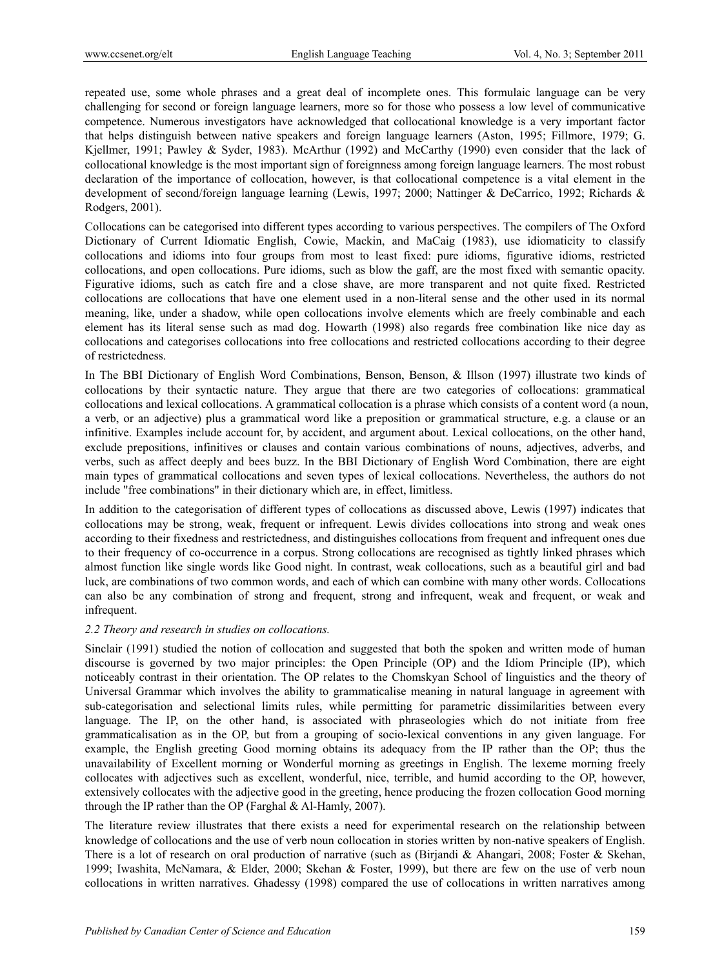repeated use, some whole phrases and a great deal of incomplete ones. This formulaic language can be very challenging for second or foreign language learners, more so for those who possess a low level of communicative competence. Numerous investigators have acknowledged that collocational knowledge is a very important factor that helps distinguish between native speakers and foreign language learners (Aston, 1995; Fillmore, 1979; G. Kjellmer, 1991; Pawley & Syder, 1983). McArthur (1992) and McCarthy (1990) even consider that the lack of collocational knowledge is the most important sign of foreignness among foreign language learners. The most robust declaration of the importance of collocation, however, is that collocational competence is a vital element in the development of second/foreign language learning (Lewis, 1997; 2000; Nattinger & DeCarrico, 1992; Richards & Rodgers, 2001).

Collocations can be categorised into different types according to various perspectives. The compilers of The Oxford Dictionary of Current Idiomatic English, Cowie, Mackin, and MaCaig (1983), use idiomaticity to classify collocations and idioms into four groups from most to least fixed: pure idioms, figurative idioms, restricted collocations, and open collocations. Pure idioms, such as blow the gaff, are the most fixed with semantic opacity. Figurative idioms, such as catch fire and a close shave, are more transparent and not quite fixed. Restricted collocations are collocations that have one element used in a non-literal sense and the other used in its normal meaning, like, under a shadow, while open collocations involve elements which are freely combinable and each element has its literal sense such as mad dog. Howarth (1998) also regards free combination like nice day as collocations and categorises collocations into free collocations and restricted collocations according to their degree of restrictedness.

In The BBI Dictionary of English Word Combinations, Benson, Benson, & Illson (1997) illustrate two kinds of collocations by their syntactic nature. They argue that there are two categories of collocations: grammatical collocations and lexical collocations. A grammatical collocation is a phrase which consists of a content word (a noun, a verb, or an adjective) plus a grammatical word like a preposition or grammatical structure, e.g. a clause or an infinitive. Examples include account for, by accident, and argument about. Lexical collocations, on the other hand, exclude prepositions, infinitives or clauses and contain various combinations of nouns, adjectives, adverbs, and verbs, such as affect deeply and bees buzz. In the BBI Dictionary of English Word Combination, there are eight main types of grammatical collocations and seven types of lexical collocations. Nevertheless, the authors do not include "free combinations" in their dictionary which are, in effect, limitless.

In addition to the categorisation of different types of collocations as discussed above, Lewis (1997) indicates that collocations may be strong, weak, frequent or infrequent. Lewis divides collocations into strong and weak ones according to their fixedness and restrictedness, and distinguishes collocations from frequent and infrequent ones due to their frequency of co-occurrence in a corpus. Strong collocations are recognised as tightly linked phrases which almost function like single words like Good night. In contrast, weak collocations, such as a beautiful girl and bad luck, are combinations of two common words, and each of which can combine with many other words. Collocations can also be any combination of strong and frequent, strong and infrequent, weak and frequent, or weak and infrequent.

#### *2.2 Theory and research in studies on collocations.*

Sinclair (1991) studied the notion of collocation and suggested that both the spoken and written mode of human discourse is governed by two major principles: the Open Principle (OP) and the Idiom Principle (IP), which noticeably contrast in their orientation. The OP relates to the Chomskyan School of linguistics and the theory of Universal Grammar which involves the ability to grammaticalise meaning in natural language in agreement with sub-categorisation and selectional limits rules, while permitting for parametric dissimilarities between every language. The IP, on the other hand, is associated with phraseologies which do not initiate from free grammaticalisation as in the OP, but from a grouping of socio-lexical conventions in any given language. For example, the English greeting Good morning obtains its adequacy from the IP rather than the OP; thus the unavailability of Excellent morning or Wonderful morning as greetings in English. The lexeme morning freely collocates with adjectives such as excellent, wonderful, nice, terrible, and humid according to the OP, however, extensively collocates with the adjective good in the greeting, hence producing the frozen collocation Good morning through the IP rather than the OP (Farghal & Al-Hamly, 2007).

The literature review illustrates that there exists a need for experimental research on the relationship between knowledge of collocations and the use of verb noun collocation in stories written by non-native speakers of English. There is a lot of research on oral production of narrative (such as (Birjandi & Ahangari, 2008; Foster & Skehan, 1999; Iwashita, McNamara, & Elder, 2000; Skehan & Foster, 1999), but there are few on the use of verb noun collocations in written narratives. Ghadessy (1998) compared the use of collocations in written narratives among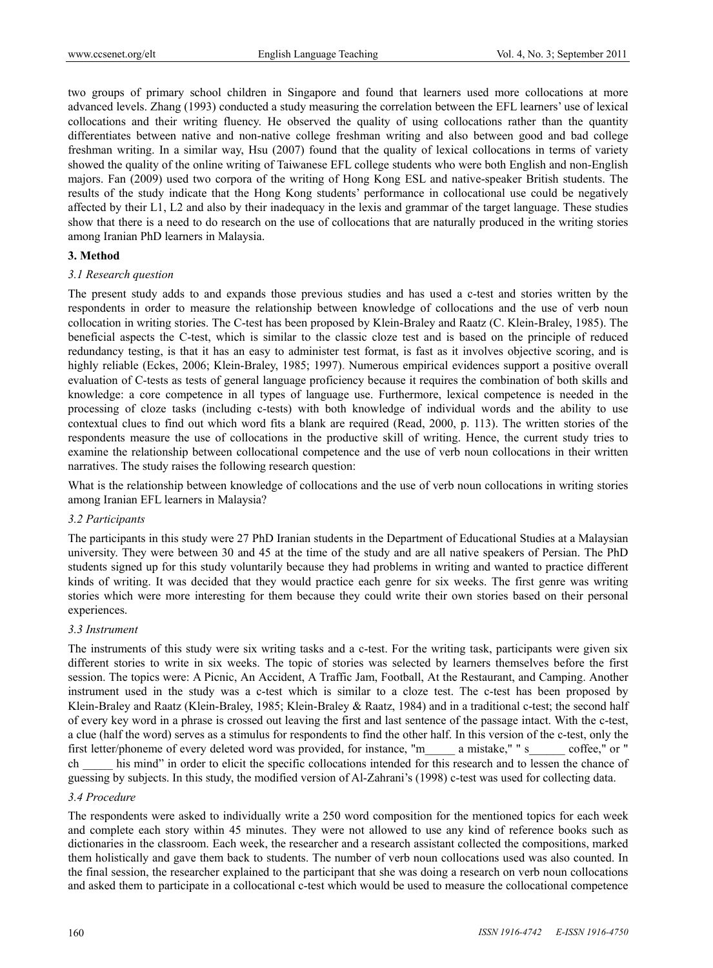two groups of primary school children in Singapore and found that learners used more collocations at more advanced levels. Zhang (1993) conducted a study measuring the correlation between the EFL learners' use of lexical collocations and their writing fluency. He observed the quality of using collocations rather than the quantity differentiates between native and non-native college freshman writing and also between good and bad college freshman writing. In a similar way, Hsu (2007) found that the quality of lexical collocations in terms of variety showed the quality of the online writing of Taiwanese EFL college students who were both English and non-English majors. Fan (2009) used two corpora of the writing of Hong Kong ESL and native-speaker British students. The results of the study indicate that the Hong Kong students' performance in collocational use could be negatively affected by their L1, L2 and also by their inadequacy in the lexis and grammar of the target language. These studies show that there is a need to do research on the use of collocations that are naturally produced in the writing stories among Iranian PhD learners in Malaysia.

#### **3. Method**

#### *3.1 Research question*

The present study adds to and expands those previous studies and has used a c-test and stories written by the respondents in order to measure the relationship between knowledge of collocations and the use of verb noun collocation in writing stories. The C-test has been proposed by Klein-Braley and Raatz (C. Klein-Braley, 1985). The beneficial aspects the C-test, which is similar to the classic cloze test and is based on the principle of reduced redundancy testing, is that it has an easy to administer test format, is fast as it involves objective scoring, and is highly reliable (Eckes, 2006; Klein-Braley, 1985; 1997). Numerous empirical evidences support a positive overall evaluation of C-tests as tests of general language proficiency because it requires the combination of both skills and knowledge: a core competence in all types of language use. Furthermore, lexical competence is needed in the processing of cloze tasks (including c-tests) with both knowledge of individual words and the ability to use contextual clues to find out which word fits a blank are required (Read, 2000, p. 113). The written stories of the respondents measure the use of collocations in the productive skill of writing. Hence, the current study tries to examine the relationship between collocational competence and the use of verb noun collocations in their written narratives. The study raises the following research question:

What is the relationship between knowledge of collocations and the use of verb noun collocations in writing stories among Iranian EFL learners in Malaysia?

#### *3.2 Participants*

The participants in this study were 27 PhD Iranian students in the Department of Educational Studies at a Malaysian university. They were between 30 and 45 at the time of the study and are all native speakers of Persian. The PhD students signed up for this study voluntarily because they had problems in writing and wanted to practice different kinds of writing. It was decided that they would practice each genre for six weeks. The first genre was writing stories which were more interesting for them because they could write their own stories based on their personal experiences.

#### *3.3 Instrument*

The instruments of this study were six writing tasks and a c-test. For the writing task, participants were given six different stories to write in six weeks. The topic of stories was selected by learners themselves before the first session. The topics were: A Picnic, An Accident, A Traffic Jam, Football, At the Restaurant, and Camping. Another instrument used in the study was a c-test which is similar to a cloze test. The c-test has been proposed by Klein-Braley and Raatz (Klein-Braley, 1985; Klein-Braley & Raatz, 1984) and in a traditional c-test; the second half of every key word in a phrase is crossed out leaving the first and last sentence of the passage intact. With the c-test, a clue (half the word) serves as a stimulus for respondents to find the other half. In this version of the c-test, only the first letter/phoneme of every deleted word was provided, for instance, "m\_\_\_\_\_ a mistake," " s\_\_\_\_\_\_ coffee," or " his mind" in order to elicit the specific collocations intended for this research and to lessen the chance of guessing by subjects. In this study, the modified version of Al-Zahrani's (1998) c-test was used for collecting data.

#### *3.4 Procedure*

The respondents were asked to individually write a 250 word composition for the mentioned topics for each week and complete each story within 45 minutes. They were not allowed to use any kind of reference books such as dictionaries in the classroom. Each week, the researcher and a research assistant collected the compositions, marked them holistically and gave them back to students. The number of verb noun collocations used was also counted. In the final session, the researcher explained to the participant that she was doing a research on verb noun collocations and asked them to participate in a collocational c-test which would be used to measure the collocational competence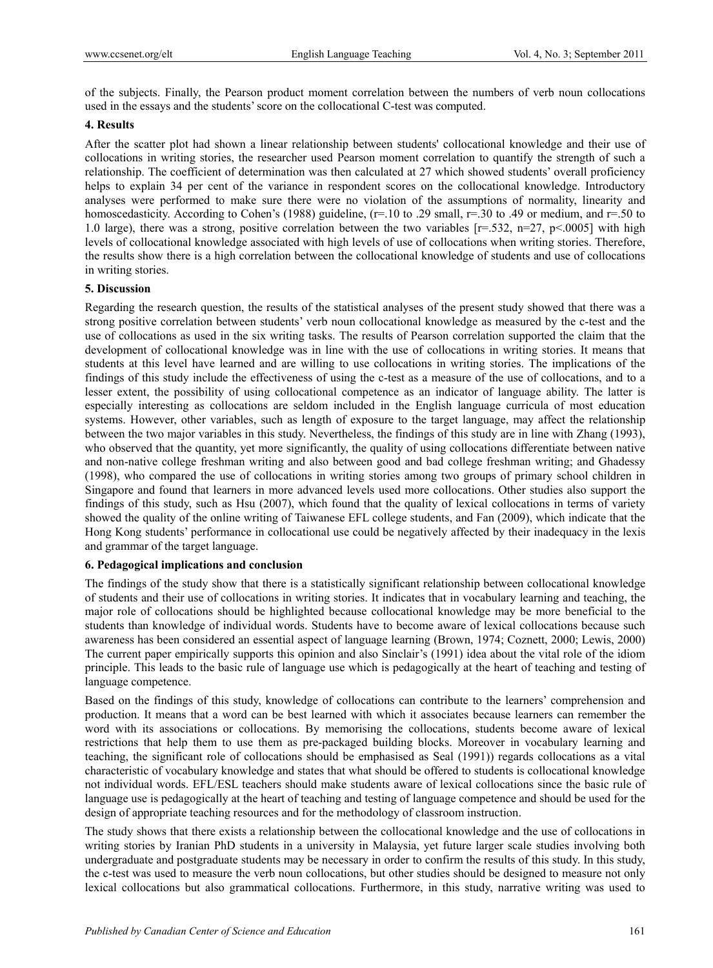of the subjects. Finally, the Pearson product moment correlation between the numbers of verb noun collocations used in the essays and the students' score on the collocational C-test was computed.

## **4. Results**

After the scatter plot had shown a linear relationship between students' collocational knowledge and their use of collocations in writing stories, the researcher used Pearson moment correlation to quantify the strength of such a relationship. The coefficient of determination was then calculated at 27 which showed students' overall proficiency helps to explain 34 per cent of the variance in respondent scores on the collocational knowledge. Introductory analyses were performed to make sure there were no violation of the assumptions of normality, linearity and homoscedasticity. According to Cohen's (1988) guideline, (r=.10 to .29 small, r=.30 to .49 or medium, and r=.50 to 1.0 large), there was a strong, positive correlation between the two variables  $[r=.532, n=27, p<.0005]$  with high levels of collocational knowledge associated with high levels of use of collocations when writing stories. Therefore, the results show there is a high correlation between the collocational knowledge of students and use of collocations in writing stories.

## **5. Discussion**

Regarding the research question, the results of the statistical analyses of the present study showed that there was a strong positive correlation between students' verb noun collocational knowledge as measured by the c-test and the use of collocations as used in the six writing tasks. The results of Pearson correlation supported the claim that the development of collocational knowledge was in line with the use of collocations in writing stories. It means that students at this level have learned and are willing to use collocations in writing stories. The implications of the findings of this study include the effectiveness of using the c-test as a measure of the use of collocations, and to a lesser extent, the possibility of using collocational competence as an indicator of language ability. The latter is especially interesting as collocations are seldom included in the English language curricula of most education systems. However, other variables, such as length of exposure to the target language, may affect the relationship between the two major variables in this study. Nevertheless, the findings of this study are in line with Zhang (1993), who observed that the quantity, yet more significantly, the quality of using collocations differentiate between native and non-native college freshman writing and also between good and bad college freshman writing; and Ghadessy (1998), who compared the use of collocations in writing stories among two groups of primary school children in Singapore and found that learners in more advanced levels used more collocations. Other studies also support the findings of this study, such as Hsu (2007), which found that the quality of lexical collocations in terms of variety showed the quality of the online writing of Taiwanese EFL college students, and Fan (2009), which indicate that the Hong Kong students' performance in collocational use could be negatively affected by their inadequacy in the lexis and grammar of the target language.

#### **6. Pedagogical implications and conclusion**

The findings of the study show that there is a statistically significant relationship between collocational knowledge of students and their use of collocations in writing stories. It indicates that in vocabulary learning and teaching, the major role of collocations should be highlighted because collocational knowledge may be more beneficial to the students than knowledge of individual words. Students have to become aware of lexical collocations because such awareness has been considered an essential aspect of language learning (Brown, 1974; Coznett, 2000; Lewis, 2000) The current paper empirically supports this opinion and also Sinclair's (1991) idea about the vital role of the idiom principle. This leads to the basic rule of language use which is pedagogically at the heart of teaching and testing of language competence.

Based on the findings of this study, knowledge of collocations can contribute to the learners' comprehension and production. It means that a word can be best learned with which it associates because learners can remember the word with its associations or collocations. By memorising the collocations, students become aware of lexical restrictions that help them to use them as pre-packaged building blocks. Moreover in vocabulary learning and teaching, the significant role of collocations should be emphasised as Seal (1991)) regards collocations as a vital characteristic of vocabulary knowledge and states that what should be offered to students is collocational knowledge not individual words. EFL/ESL teachers should make students aware of lexical collocations since the basic rule of language use is pedagogically at the heart of teaching and testing of language competence and should be used for the design of appropriate teaching resources and for the methodology of classroom instruction.

The study shows that there exists a relationship between the collocational knowledge and the use of collocations in writing stories by Iranian PhD students in a university in Malaysia, yet future larger scale studies involving both undergraduate and postgraduate students may be necessary in order to confirm the results of this study. In this study, the c-test was used to measure the verb noun collocations, but other studies should be designed to measure not only lexical collocations but also grammatical collocations. Furthermore, in this study, narrative writing was used to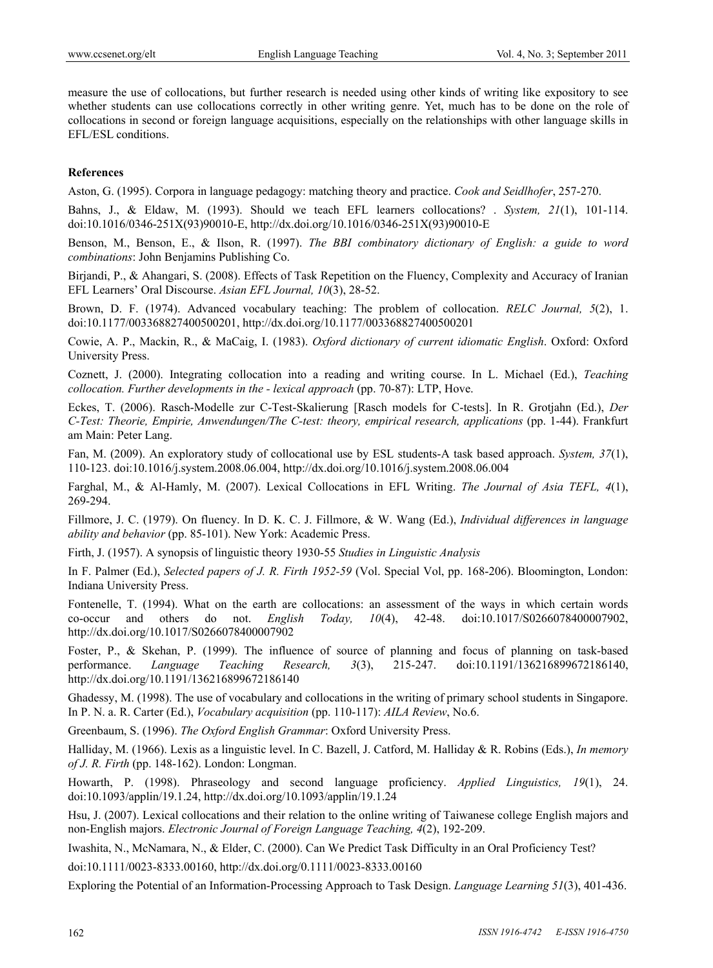measure the use of collocations, but further research is needed using other kinds of writing like expository to see whether students can use collocations correctly in other writing genre. Yet, much has to be done on the role of collocations in second or foreign language acquisitions, especially on the relationships with other language skills in EFL/ESL conditions.

## **References**

Aston, G. (1995). Corpora in language pedagogy: matching theory and practice. *Cook and Seidlhofer*, 257-270.

Bahns, J., & Eldaw, M. (1993). Should we teach EFL learners collocations? . *System, 21*(1), 101-114. doi:10.1016/0346-251X(93)90010-E, http://dx.doi.org/10.1016/0346-251X(93)90010-E

Benson, M., Benson, E., & Ilson, R. (1997). *The BBI combinatory dictionary of English: a guide to word combinations*: John Benjamins Publishing Co.

Birjandi, P., & Ahangari, S. (2008). Effects of Task Repetition on the Fluency, Complexity and Accuracy of Iranian EFL Learners' Oral Discourse. *Asian EFL Journal, 10*(3), 28-52.

Brown, D. F. (1974). Advanced vocabulary teaching: The problem of collocation. *RELC Journal, 5*(2), 1. doi:10.1177/003368827400500201, http://dx.doi.org/10.1177/003368827400500201

Cowie, A. P., Mackin, R., & MaCaig, I. (1983). *Oxford dictionary of current idiomatic English*. Oxford: Oxford University Press.

Coznett, J. (2000). Integrating collocation into a reading and writing course. In L. Michael (Ed.), *Teaching collocation. Further developments in the - lexical approach* (pp. 70-87): LTP, Hove.

Eckes, T. (2006). Rasch-Modelle zur C-Test-Skalierung [Rasch models for C-tests]. In R. Grotjahn (Ed.), *Der C-Test: Theorie, Empirie, Anwendungen/The C-test: theory, empirical research, applications* (pp. 1-44). Frankfurt am Main: Peter Lang.

Fan, M. (2009). An exploratory study of collocational use by ESL students-A task based approach. *System, 37*(1), 110-123. doi:10.1016/j.system.2008.06.004, http://dx.doi.org/10.1016/j.system.2008.06.004

Farghal, M., & Al-Hamly, M. (2007). Lexical Collocations in EFL Writing. *The Journal of Asia TEFL, 4*(1), 269-294.

Fillmore, J. C. (1979). On fluency. In D. K. C. J. Fillmore, & W. Wang (Ed.), *Individual differences in language ability and behavior* (pp. 85-101). New York: Academic Press.

Firth, J. (1957). A synopsis of linguistic theory 1930-55 *Studies in Linguistic Analysis*

In F. Palmer (Ed.), *Selected papers of J. R. Firth 1952-59* (Vol. Special Vol, pp. 168-206). Bloomington, London: Indiana University Press.

Fontenelle, T. (1994). What on the earth are collocations: an assessment of the ways in which certain words co-occur and others do not. *English Today, 10*(4), 42-48. doi:10.1017/S0266078400007902, http://dx.doi.org/10.1017/S0266078400007902

Foster, P., & Skehan, P. (1999). The influence of source of planning and focus of planning on task-based performance. *Language Teaching Research, 3*(3), 215-247. doi:10.1191/136216899672186140, http://dx.doi.org/10.1191/136216899672186140

Ghadessy, M. (1998). The use of vocabulary and collocations in the writing of primary school students in Singapore. In P. N. a. R. Carter (Ed.), *Vocabulary acquisition* (pp. 110-117): *AILA Review*, No.6.

Greenbaum, S. (1996). *The Oxford English Grammar*: Oxford University Press.

Halliday, M. (1966). Lexis as a linguistic level. In C. Bazell, J. Catford, M. Halliday & R. Robins (Eds.), *In memory of J. R. Firth* (pp. 148-162). London: Longman.

Howarth, P. (1998). Phraseology and second language proficiency. *Applied Linguistics, 19*(1), 24. doi:10.1093/applin/19.1.24, http://dx.doi.org/10.1093/applin/19.1.24

Hsu, J. (2007). Lexical collocations and their relation to the online writing of Taiwanese college English majors and non-English majors. *Electronic Journal of Foreign Language Teaching, 4*(2), 192-209.

Iwashita, N., McNamara, N., & Elder, C. (2000). Can We Predict Task Difficulty in an Oral Proficiency Test?

doi:10.1111/0023-8333.00160, http://dx.doi.org/0.1111/0023-8333.00160

Exploring the Potential of an Information-Processing Approach to Task Design. *Language Learning 51*(3), 401-436.